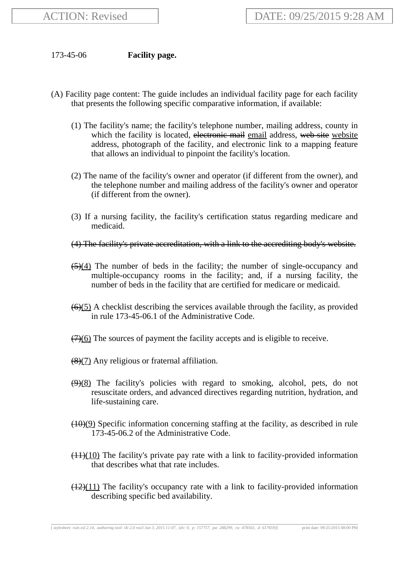## 173-45-06 **Facility page.**

- (A) Facility page content: The guide includes an individual facility page for each facility that presents the following specific comparative information, if available:
	- (1) The facility's name; the facility's telephone number, mailing address, county in which the facility is located, electronic mail email address, web site website address, photograph of the facility, and electronic link to a mapping feature that allows an individual to pinpoint the facility's location.
	- (2) The name of the facility's owner and operator (if different from the owner), and the telephone number and mailing address of the facility's owner and operator (if different from the owner).
	- (3) If a nursing facility, the facility's certification status regarding medicare and medicaid.
	- (4) The facility's private accreditation, with a link to the accrediting body's website.
	- $(5)(4)$  The number of beds in the facility; the number of single-occupancy and multiple-occupancy rooms in the facility; and, if a nursing facility, the number of beds in the facility that are certified for medicare or medicaid.
	- $(6)(5)$  A checklist describing the services available through the facility, as provided in rule 173-45-06.1 of the Administrative Code.
	- $(7)(6)$  The sources of payment the facility accepts and is eligible to receive.
	- (8)(7) Any religious or fraternal affiliation.
	- $(9)(8)$  The facility's policies with regard to smoking, alcohol, pets, do not resuscitate orders, and advanced directives regarding nutrition, hydration, and life-sustaining care.
	- (10)(9) Specific information concerning staffing at the facility, as described in rule 173-45-06.2 of the Administrative Code.
	- $(11)(10)$  The facility's private pay rate with a link to facility-provided information that describes what that rate includes.
	- $(12)(11)$  The facility's occupancy rate with a link to facility-provided information describing specific bed availability.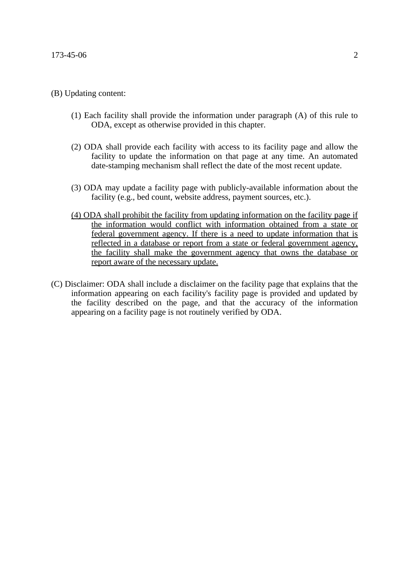## (B) Updating content:

- (1) Each facility shall provide the information under paragraph (A) of this rule to ODA, except as otherwise provided in this chapter.
- (2) ODA shall provide each facility with access to its facility page and allow the facility to update the information on that page at any time. An automated date-stamping mechanism shall reflect the date of the most recent update.
- (3) ODA may update a facility page with publicly-available information about the facility (e.g., bed count, website address, payment sources, etc.).
- (4) ODA shall prohibit the facility from updating information on the facility page if the information would conflict with information obtained from a state or federal government agency. If there is a need to update information that is reflected in a database or report from a state or federal government agency, the facility shall make the government agency that owns the database or report aware of the necessary update.
- (C) Disclaimer: ODA shall include a disclaimer on the facility page that explains that the information appearing on each facility's facility page is provided and updated by the facility described on the page, and that the accuracy of the information appearing on a facility page is not routinely verified by ODA.